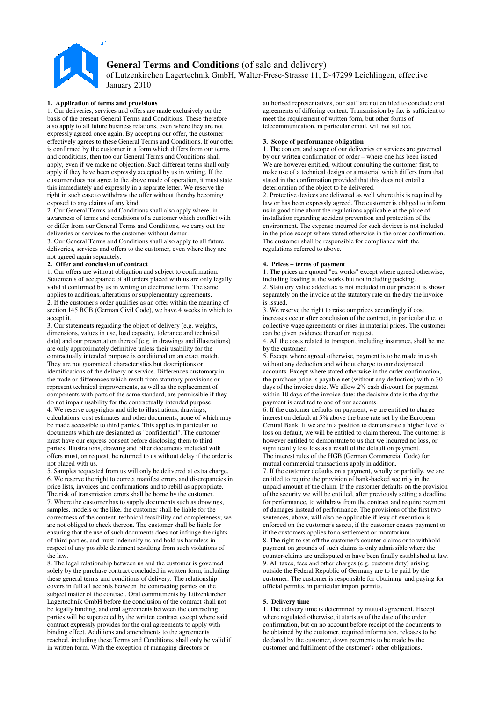

# **General Terms and Conditions** (of sale and delivery) of Lützenkirchen Lagertechnik GmbH, Walter-Frese-Strasse 11, D-47299 Leichlingen, effective January 2010

# **1. Application of terms and provisions**

1. Our deliveries, services and offers are made exclusively on the basis of the present General Terms and Conditions. These therefore also apply to all future business relations, even where they are not expressly agreed once again. By accepting our offer, the customer effectively agrees to these General Terms and Conditions. If our offer is confirmed by the customer in a form which differs from our terms and conditions, then too our General Terms and Conditions shall apply, even if we make no objection. Such different terms shall only apply if they have been expressly accepted by us in writing. If the customer does not agree to the above mode of operation, it must state this immediately and expressly in a separate letter. We reserve the right in such case to withdraw the offer without thereby becoming exposed to any claims of any kind.

2. Our General Terms and Conditions shall also apply where, in awareness of terms and conditions of a customer which conflict with or differ from our General Terms and Conditions, we carry out the deliveries or services to the customer without demur.

3. Our General Terms and Conditions shall also apply to all future deliveries, services and offers to the customer, even where they are not agreed again separately.

## **2. Offer and conclusion of contract**

1. Our offers are without obligation and subject to confirmation. Statements of acceptance of all orders placed with us are only legally valid if confirmed by us in writing or electronic form. The same applies to additions, alterations or supplementary agreements. 2. If the customer's order qualifies as an offer within the meaning of section 145 BGB (German Civil Code), we have 4 weeks in which to accept it.

3. Our statements regarding the object of delivery (e.g. weights, dimensions, values in use, load capacity, tolerance and technical data) and our presentation thereof (e.g. in drawings and illustrations) are only approximately definitive unless their usability for the contractually intended purpose is conditional on an exact match. They are not guaranteed characteristics but descriptions or identifications of the delivery or service. Differences customary in the trade or differences which result from statutory provisions or represent technical improvements, as well as the replacement of components with parts of the same standard, are permissible if they do not impair usability for the contractually intended purpose. 4. We reserve copyrights and title to illustrations, drawings, calculations, cost estimates and other documents, none of which may be made accessible to third parties. This applies in particular to documents which are designated as "confidential". The customer

must have our express consent before disclosing them to third parties. Illustrations, drawing and other documents included with offers must, on request, be returned to us without delay if the order is not placed with us.

5. Samples requested from us will only be delivered at extra charge. 6. We reserve the right to correct manifest errors and discrepancies in price lists, invoices and confirmations and to rebill as appropriate. The risk of transmission errors shall be borne by the customer. 7. Where the customer has to supply documents such as drawings, samples, models or the like, the customer shall be liable for the correctness of the content, technical feasibility and completeness; we are not obliged to check thereon. The customer shall be liable for ensuring that the use of such documents does not infringe the rights of third parties, and must indemnify us and hold us harmless in respect of any possible detriment resulting from such violations of the law.

8. The legal relationship between us and the customer is governed solely by the purchase contract concluded in written form, including these general terms and conditions of delivery. The relationship covers in full all accords between the contracting parties on the subject matter of the contract. Oral commitments by Lützenkirchen Lagertechnik GmbH before the conclusion of the contract shall not be legally binding, and oral agreements between the contracting parties will be superseded by the written contract except where said contract expressly provides for the oral agreements to apply with binding effect. Additions and amendments to the agreements reached, including these Terms and Conditions, shall only be valid if in written form. With the exception of managing directors or

authorised representatives, our staff are not entitled to conclude oral agreements of differing content. Transmission by fax is sufficient to meet the requirement of written form, but other forms of telecommunication, in particular email, will not suffice.

# **3. Scope of performance obligation**

1. The content and scope of our deliveries or services are governed by our written confirmation of order – where one has been issued. We are however entitled, without consulting the customer first, to make use of a technical design or a material which differs from that stated in the confirmation provided that this does not entail a deterioration of the object to be delivered.

2. Protective devices are delivered as well where this is required by law or has been expressly agreed. The customer is obliged to inform us in good time about the regulations applicable at the place of installation regarding accident prevention and protection of the environment. The expense incurred for such devices is not included in the price except where stated otherwise in the order confirmation. The customer shall be responsible for compliance with the regulations referred to above.

## **4. Prices – terms of payment**

1. The prices are quoted "ex works" except where agreed otherwise, including loading at the works but not including packing. 2. Statutory value added tax is not included in our prices; it is shown separately on the invoice at the statutory rate on the day the invoice is issued.

3. We reserve the right to raise our prices accordingly if cost increases occur after conclusion of the contract, in particular due to collective wage agreements or rises in material prices. The customer can be given evidence thereof on request.

4. All the costs related to transport, including insurance, shall be met by the customer.

5. Except where agreed otherwise, payment is to be made in cash without any deduction and without charge to our designated accounts. Except where stated otherwise in the order confirmation, the purchase price is payable net (without any deduction) within 30 days of the invoice date. We allow 2% cash discount for payment within 10 days of the invoice date: the decisive date is the day the payment is credited to one of our accounts.

6. If the customer defaults on payment, we are entitled to charge interest on default at 5% above the base rate set by the European Central Bank. If we are in a position to demonstrate a higher level of loss on default, we will be entitled to claim thereon. The customer is however entitled to demonstrate to us that we incurred no loss, or significantly less loss as a result of the default on payment. The interest rules of the HGB (German Commercial Code) for mutual commercial transactions apply in addition.

7. If the customer defaults on a payment, wholly or partially, we are entitled to require the provision of bank-backed security in the unpaid amount of the claim. If the customer defaults on the provision of the security we will be entitled, after previously setting a deadline for performance, to withdraw from the contract and require payment of damages instead of performance. The provisions of the first two sentences, above, will also be applicable if levy of execution is enforced on the customer's assets, if the customer ceases payment or if the customers applies for a settlement or moratorium. 8. The right to set off the customer's counter-claims or to withhold payment on grounds of such claims is only admissible where the counter-claims are undisputed or have been finally established at law. 9. All taxes, fees and other charges (e.g. customs duty) arising outside the Federal Republic of Germany are to be paid by the customer. The customer is responsible for obtaining and paying for official permits, in particular import permits.

# **5. Delivery time**

1. The delivery time is determined by mutual agreement. Except where regulated otherwise, it starts as of the date of the order confirmation, but on no account before receipt of the documents to be obtained by the customer, required information, releases to be declared by the customer, down payments to be made by the customer and fulfilment of the customer's other obligations.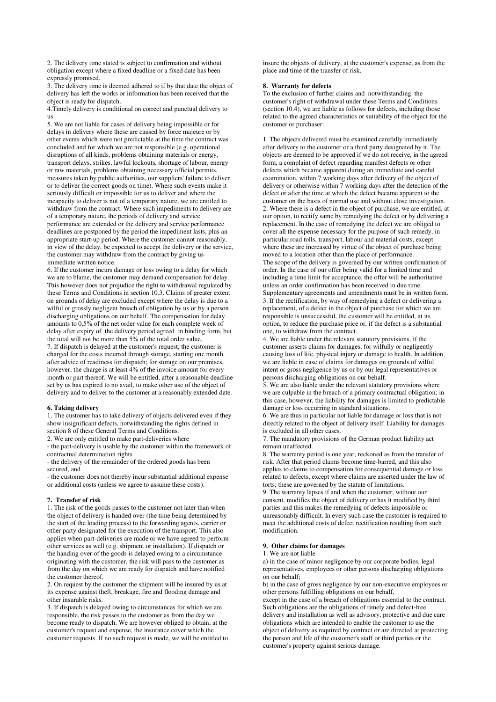2. The delivery time stated is subject to confirmation and without obligation except where a fixed deadline or a fixed date has been expressly promised.

3. The delivery time is deemed adhered to if by that date the object of delivery has left the works or information has been received that the object is ready for dispatch.

4.Timely delivery is conditional on correct and punctual delivery to us.

5. We are not liable for cases of delivery being impossible or for delays in delivery where these are caused by force majeure or by other events which were not predictable at the time the contract was concluded and for which we are not responsible (e.g. operational disruptions of all kinds, problems obtaining materials or energy, transport delays, strikes, lawful lockouts, shortage of labour, energy or raw materials, problems obtaining necessary official permits, measures taken by public authorities, our suppliers' failure to deliver or to deliver the correct goods on time). Where such events make it seriously difficult or impossible for us to deliver and where the incapacity to deliver is not of a temporary nature, we are entitled to withdraw from the contract. Where such impediments to delivery are of a temporary nature, the periods of delivery and service performance are extended or the delivery and service performance deadlines are postponed by the period the impediment lasts, plus an appropriate start-up period. Where the customer cannot reasonably, in view of the delay, be expected to accept the delivery or the service, the customer may withdraw from the contract by giving us immediate written notice.

6. If the customer incurs damage or loss owing to a delay for which we are to blame, the customer may demand compensation for delay. This however does not prejudice the right to withdrawal regulated by these Terms and Conditions in section 10.3. Claims of greater extent on grounds of delay are excluded except where the delay is due to a wilful or grossly negligent breach of obligation by us or by a person discharging obligations on our behalf. The compensation for delay amounts to 0.5% of the net order value for each complete week of delay after expiry of the delivery period agreed in binding form, but the total will not be more than 5% of the total order value. 7. If dispatch is delayed at the customer's request, the customer is charged for the costs incurred through storage, starting one month after advice of readiness for dispatch; for storage on our premises, however, the charge is at least 4% of the invoice amount for every month or part thereof. We will be entitled, after a reasonable deadline set by us has expired to no avail, to make other use of the object of delivery and to deliver to the customer at a reasonably extended date.

#### **6. Taking delivery**

1. The customer has to take delivery of objects delivered even if they show insignificant defects, notwithstanding the rights defined in section 8 of these General Terms and Conditions.

2. We are only entitled to make part-deliveries where

- the part-delivery is usable by the customer within the framework of contractual determination rights

- the delivery of the remainder of the ordered goods has been secured, and

- the customer does not thereby incur substantial additional expense or additional costs (unless we agree to assume these costs).

#### **7. Transfer of risk**

1. The risk of the goods passes to the customer not later than when the object of delivery is handed over (the time being determined by the start of the loading process) to the forwarding agents, carrier or other party designated for the execution of the transport. This also applies when part-deliveries are made or we have agreed to perform other services as well (e.g. shipment or installation). If dispatch or the handing over of the goods is delayed owing to a circumstance originating with the customer, the risk will pass to the customer as from the day on which we are ready for dispatch and have notified the customer thereof.

2. On request by the customer the shipment will be insured by us at its expense against theft, breakage, fire and flooding damage and other insurable risks.

3. If dispatch is delayed owing to circumstances for which we are responsible, the risk passes to the customer as from the day we become ready to dispatch. We are however obliged to obtain, at the customer's request and expense, the insurance cover which the customer requests. If no such request is made, we will be entitled to

insure the objects of delivery, at the customer's expense, as from the place and time of the transfer of risk.

#### **8. Warranty for defects**

To the exclusion of further claims and notwithstanding the customer's right of withdrawal under these Terms and Conditions (section 10.4), we are liable as follows for defects, including those related to the agreed characteristics or suitability of the object for the customer or purchaser:

1. The objects delivered must be examined carefully immediately after delivery to the customer or a third party designated by it. The objects are deemed to be approved if we do not receive, in the agreed form, a complaint of defect regarding manifest defects or other defects which became apparent during an immediate and careful examination, within 7 working days after delivery of the object of delivery or otherwise within 7 working days after the detection of the defect or after the time at which the defect became apparent to the customer on the basis of normal use and without close investigation. 2. Where there is a defect in the object of purchase, we are entitled, at our option, to rectify same by remedying the defect or by delivering a replacement. In the case of remedying the defect we are obliged to cover all the expense necessary for the purpose of such remedy, in particular road tolls, transport, labour and material costs, except where these are increased by virtue of the object of purchase being moved to a location other than the place of performance. The scope of the delivery is governed by our written confirmation of order. In the case of our offer being valid for a limited time and including a time limit for acceptance, the offer will be authoritative unless an order confirmation has been received in due time. Supplementary agreements and amendments must be in written form. 3. If the rectification, by way of remedying a defect or delivering a replacement, of a defect in the object of purchase for which we are responsible is unsuccessful, the customer will be entitled, at its option, to reduce the purchase price or, if the defect is a substantial one, to withdraw from the contract.

4. We are liable under the relevant statutory provisions, if the customer asserts claims for damages, for wilfully or negligently causing loss of life, physical injury or damage to health. In addition, we are liable in case of claims for damages on grounds of wilful intent or gross negligence by us or by our legal representatives or persons discharging obligations on our behalf.

5. We are also liable under the relevant statutory provisions where we are culpable in the breach of a primary contractual obligation; in this case, however, the liability for damages is limited to predictable damage or loss occurring in standard situations.

6. We are thus in particular not liable for damage or loss that is not directly related to the object of delivery itself. Liability for damages is excluded in all other cases.

7. The mandatory provisions of the German product liability act remain unaffected.

8. The warranty period is one year, reckoned as from the transfer of risk. After that period claims become time-barred, and this also applies to claims to compensation for consequential damage or loss related to defects, except where claims are asserted under the law of torts; these are governed by the statute of limitations.

9. The warranty lapses if and when the customer, without our consent, modifies the object of delivery or has it modified by third parties and this makes the remedying of defects impossible or unreasonably difficult. In every such case the customer is required to meet the additional costs of defect rectification resulting from such modification.

## **9. Other claims for damages**

1. We are not liable

a) in the case of minor negligence by our corporate bodies, legal representatives, employees or other persons discharging obligations on our behalf;

b) in the case of gross negligence by our non-executive employees or other persons fulfilling obligations on our behalf,

except in the case of a breach of obligations essential to the contract. Such obligations are the obligations of timely and defect-free delivery and installation as well as advisory, protective and due care obligations which are intended to enable the customer to use the object of delivery as required by contract or are directed at protecting the person and life of the customer's staff or third parties or the customer's property against serious damage.